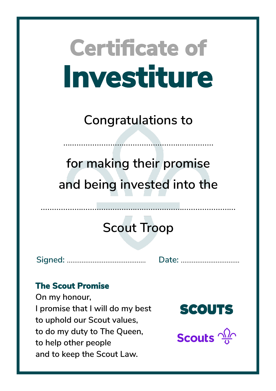**Congratulations to**

……………………………………………….…………

**for making their promise and being invested into the**

## **Scout Troop**

**Signed:** ……………...……………………. **Date:** …………………....…….

### **The Scout Promise**

**On my honour, I promise that I will do my best to uphold our Scout values, to do my duty to The Queen, to help other people and to keep the Scout Law.**

**SCOUTS** 

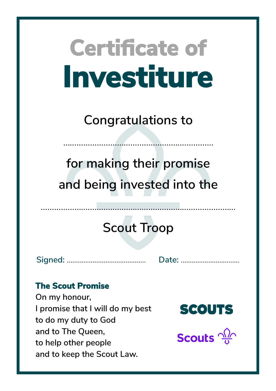**Congratulations to**

……………………………………………….…………

**for making their promise and being invested into the**

## **Scout Troop**

**Signed:** ……………...……………………. **Date:** …………………....…….

### **The Scout Promise**

**On my honour, I promise that I will do my best to do my duty to God and to The Queen, to help other people and to keep the Scout Law.**



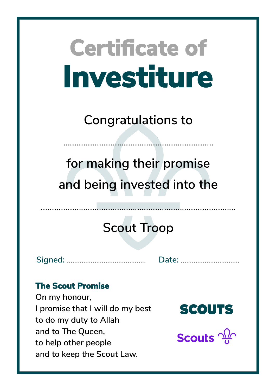**Congratulations to**

……………………………………………….…………

**for making their promise and being invested into the**

## **Scout Troop**

**Signed:** ……………...……………………. **Date:** …………………....…….

### **The Scout Promise**

**On my honour, I promise that I will do my best to do my duty to Allah and to The Queen, to help other people and to keep the Scout Law.**



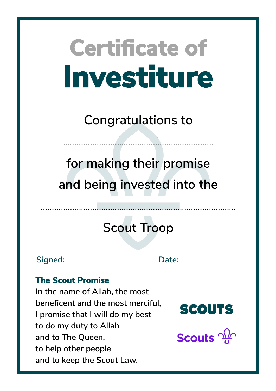**Congratulations to**

……………………………………………….…………

**for making their promise and being invested into the**

## **Scout Troop**

……………………………………...……………………………………

**Signed:** ……………...……………………. **Date:** …………………....…….

#### **The Scout Promise**

**In the name of Allah, the most beneficent and the most merciful, I promise that I will do my best to do my duty to Allah and to The Queen, to help other people and to keep the Scout Law.**

**SCOUTS** 

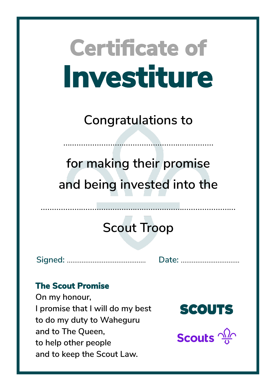**Congratulations to**

……………………………………………….…………

**for making their promise and being invested into the**

## **Scout Troop**

**Signed:** ……………...……………………. **Date:** …………………....…….

### **The Scout Promise**

**On my honour, I promise that I will do my best to do my duty to Waheguru and to The Queen, to help other people and to keep the Scout Law.**



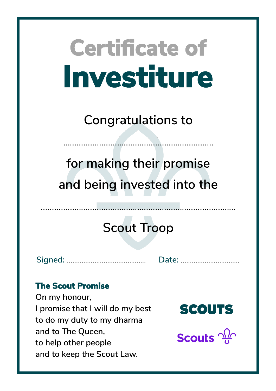**Congratulations to**

……………………………………………….…………

**for making their promise and being invested into the**

## **Scout Troop**

**Signed:** ……………...……………………. **Date:** …………………....…….

### **The Scout Promise**

**On my honour, I promise that I will do my best to do my duty to my dharma and to The Queen, to help other people and to keep the Scout Law.**

**SCOUTS**